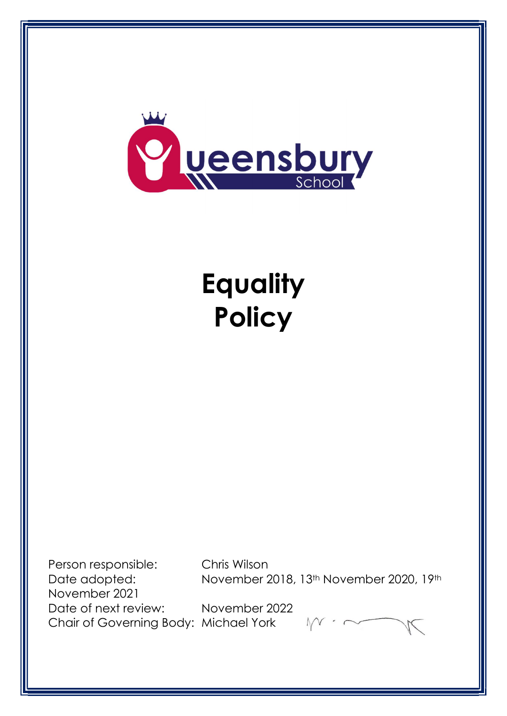

# **Equality Policy**

Person responsible: Chris Wilson November 2021 Date of next review: November 2022 Chair of Governing Body: Michael York

Date adopted: November 2018, 13<sup>th</sup> November 2020, 19<sup>th</sup>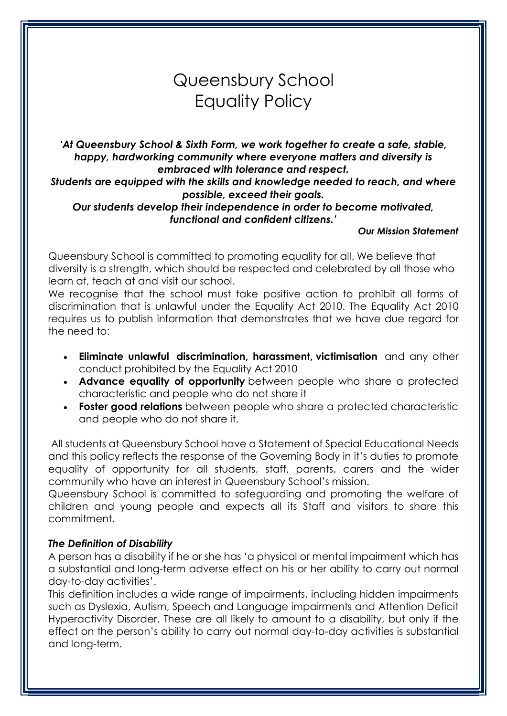# Queensbury School Equality Policy

'At Queensbury School & Sixth Form, we work together to create a safe, stable, happy, hardworking community where everyone matters and diversity is embraced with tolerance and respect.

Students are equipped with the skills and knowledge needed to reach, and where possible, exceed their goals.

Our students develop their independence in order to become motivated, functional and confident citizens.'

#### Our Mission Statement

Queensbury School is committed to promoting equality for all. We believe that diversity is a strength, which should be respected and celebrated by all those who learn at, teach at and visit our school.

We recognise that the school must take positive action to prohibit all forms of discrimination that is unlawful under the Equality Act 2010. The Equality Act 2010 requires us to publish information that demonstrates that we have due regard for the need to:

- Eliminate unlawful discrimination, harassment, victimisation and any other conduct prohibited by the Equality Act 2010
- Advance equality of opportunity between people who share a protected characteristic and people who do not share it
- Foster good relations between people who share a protected characteristic and people who do not share it.

 All students at Queensbury School have a Statement of Special Educational Needs and this policy reflects the response of the Governing Body in it's duties to promote equality of opportunity for all students, staff, parents, carers and the wider community who have an interest in Queensbury School's mission.

Queensbury School is committed to safeguarding and promoting the welfare of children and young people and expects all its Staff and visitors to share this commitment.

# The Definition of Disability

A person has a disability if he or she has 'a physical or mental impairment which has a substantial and long-term adverse effect on his or her ability to carry out normal day-to-day activities'.

This definition includes a wide range of impairments, including hidden impairments such as Dyslexia, Autism, Speech and Language impairments and Attention Deficit Hyperactivity Disorder. These are all likely to amount to a disability, but only if the effect on the person's ability to carry out normal day-to-day activities is substantial and long-term.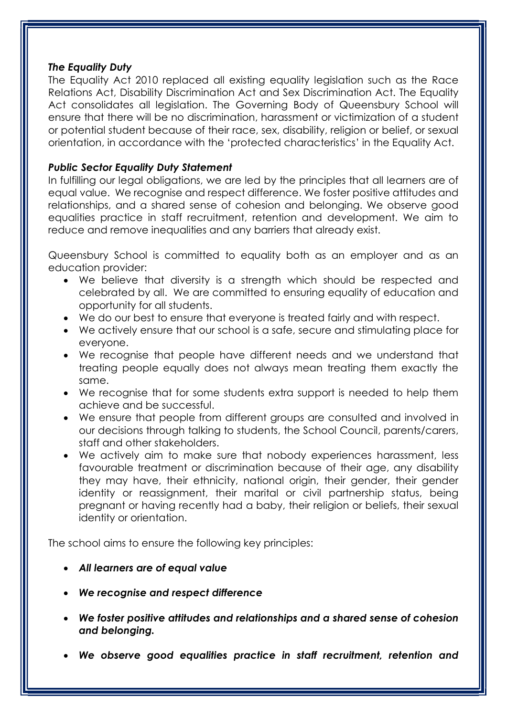#### The Equality Duty

The Equality Act 2010 replaced all existing equality legislation such as the Race Relations Act, Disability Discrimination Act and Sex Discrimination Act. The Equality Act consolidates all legislation. The Governing Body of Queensbury School will ensure that there will be no discrimination, harassment or victimization of a student or potential student because of their race, sex, disability, religion or belief, or sexual orientation, in accordance with the 'protected characteristics' in the Equality Act.

#### Public Sector Equality Duty Statement

In fulfilling our legal obligations, we are led by the principles that all learners are of equal value. We recognise and respect difference. We foster positive attitudes and relationships, and a shared sense of cohesion and belonging. We observe good equalities practice in staff recruitment, retention and development. We aim to reduce and remove inequalities and any barriers that already exist.

Queensbury School is committed to equality both as an employer and as an education provider:

- We believe that diversity is a strength which should be respected and celebrated by all. We are committed to ensuring equality of education and opportunity for all students.
- We do our best to ensure that everyone is treated fairly and with respect.
- We actively ensure that our school is a safe, secure and stimulating place for everyone.
- We recognise that people have different needs and we understand that treating people equally does not always mean treating them exactly the same.
- We recognise that for some students extra support is needed to help them achieve and be successful.
- We ensure that people from different groups are consulted and involved in our decisions through talking to students, the School Council, parents/carers, staff and other stakeholders.
- We actively aim to make sure that nobody experiences harassment, less favourable treatment or discrimination because of their age, any disability they may have, their ethnicity, national origin, their gender, their gender identity or reassignment, their marital or civil partnership status, being pregnant or having recently had a baby, their religion or beliefs, their sexual identity or orientation.

The school aims to ensure the following key principles:

- All learners are of equal value
- We recognise and respect difference
- We foster positive attitudes and relationships and a shared sense of cohesion and belonging.
- We observe good equalities practice in staff recruitment, retention and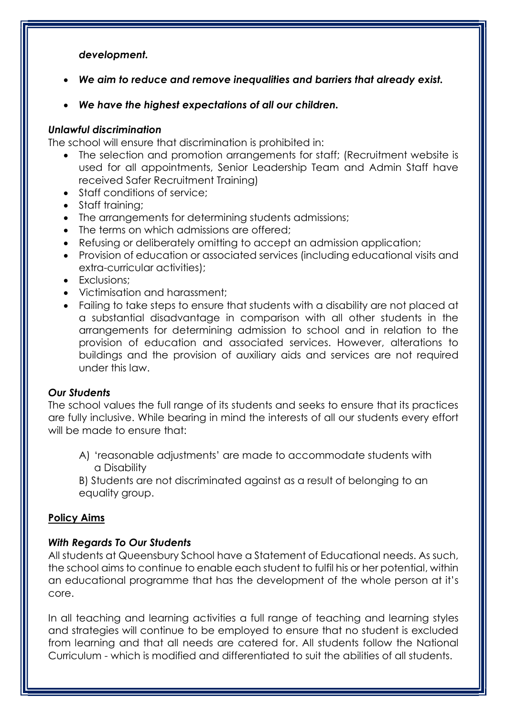#### development.

- We aim to reduce and remove inequalities and barriers that already exist.
- We have the highest expectations of all our children.

# Unlawful discrimination

The school will ensure that discrimination is prohibited in:

- The selection and promotion arrangements for staff; (Recruitment website is used for all appointments, Senior Leadership Team and Admin Staff have received Safer Recruitment Training)
- Staff conditions of service:
- Staff training;
- The arrangements for determining students admissions;
- The terms on which admissions are offered;
- Refusing or deliberately omitting to accept an admission application;
- Provision of education or associated services (including educational visits and extra-curricular activities);
- Exclusions:
- Victimisation and harassment;
- Failing to take steps to ensure that students with a disability are not placed at a substantial disadvantage in comparison with all other students in the arrangements for determining admission to school and in relation to the provision of education and associated services. However, alterations to buildings and the provision of auxiliary aids and services are not required under this law.

# Our Students

The school values the full range of its students and seeks to ensure that its practices are fully inclusive. While bearing in mind the interests of all our students every effort will be made to ensure that:

A) 'reasonable adjustments' are made to accommodate students with a Disability

B) Students are not discriminated against as a result of belonging to an equality group.

# Policy Aims

# With Regards To Our Students

All students at Queensbury School have a Statement of Educational needs. As such, the school aims to continue to enable each student to fulfil his or her potential, within an educational programme that has the development of the whole person at it's core.

In all teaching and learning activities a full range of teaching and learning styles and strategies will continue to be employed to ensure that no student is excluded from learning and that all needs are catered for. All students follow the National Curriculum - which is modified and differentiated to suit the abilities of all students.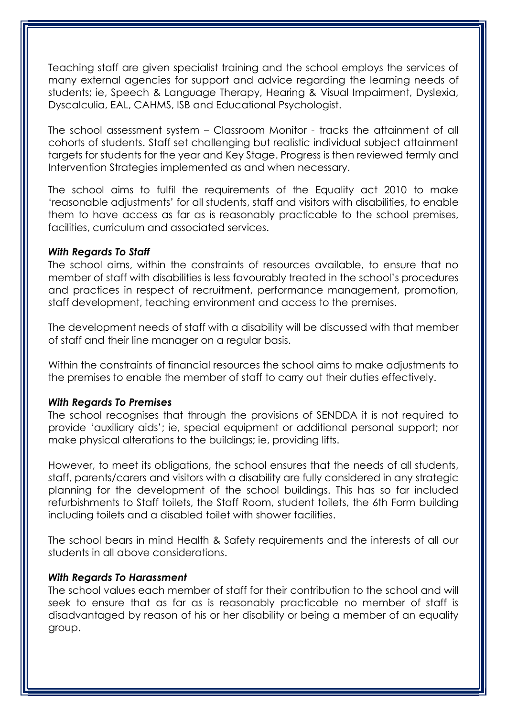Teaching staff are given specialist training and the school employs the services of many external agencies for support and advice regarding the learning needs of students; ie, Speech & Language Therapy, Hearing & Visual Impairment, Dyslexia, Dyscalculia, EAL, CAHMS, ISB and Educational Psychologist.

The school assessment system – Classroom Monitor - tracks the attainment of all cohorts of students. Staff set challenging but realistic individual subject attainment targets for students for the year and Key Stage. Progress is then reviewed termly and Intervention Strategies implemented as and when necessary.

The school aims to fulfil the requirements of the Equality act 2010 to make 'reasonable adjustments' for all students, staff and visitors with disabilities, to enable them to have access as far as is reasonably practicable to the school premises, facilities, curriculum and associated services.

#### With Regards To Staff

The school aims, within the constraints of resources available, to ensure that no member of staff with disabilities is less favourably treated in the school's procedures and practices in respect of recruitment, performance management, promotion, staff development, teaching environment and access to the premises.

The development needs of staff with a disability will be discussed with that member of staff and their line manager on a regular basis.

Within the constraints of financial resources the school aims to make adjustments to the premises to enable the member of staff to carry out their duties effectively.

# With Regards To Premises

The school recognises that through the provisions of SENDDA it is not required to provide 'auxiliary aids'; ie, special equipment or additional personal support; nor make physical alterations to the buildings; ie, providing lifts.

However, to meet its obligations, the school ensures that the needs of all students, staff, parents/carers and visitors with a disability are fully considered in any strategic planning for the development of the school buildings. This has so far included refurbishments to Staff toilets, the Staff Room, student toilets, the 6th Form building including toilets and a disabled toilet with shower facilities.

The school bears in mind Health & Safety requirements and the interests of all our students in all above considerations.

# With Regards To Harassment

The school values each member of staff for their contribution to the school and will seek to ensure that as far as is reasonably practicable no member of staff is disadvantaged by reason of his or her disability or being a member of an equality group.